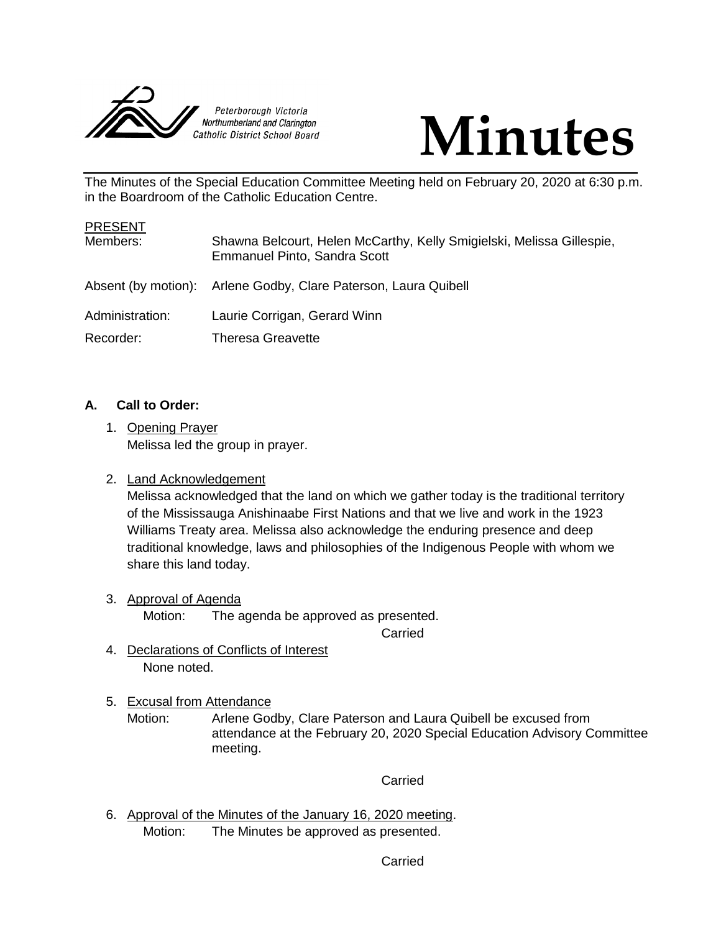



The Minutes of the Special Education Committee Meeting held on February 20, 2020 at 6:30 p.m. in the Boardroom of the Catholic Education Centre.

| <b>PRESENT</b>  |                                                                                                       |
|-----------------|-------------------------------------------------------------------------------------------------------|
| Members:        | Shawna Belcourt, Helen McCarthy, Kelly Smigielski, Melissa Gillespie,<br>Emmanuel Pinto, Sandra Scott |
|                 | Absent (by motion): Arlene Godby, Clare Paterson, Laura Quibell                                       |
| Administration: | Laurie Corrigan, Gerard Winn                                                                          |
| Recorder:       | Theresa Greavette                                                                                     |

# **A. Call to Order:**

1. Opening Prayer Melissa led the group in prayer.

# 2. Land Acknowledgement

Melissa acknowledged that the land on which we gather today is the traditional territory of the Mississauga Anishinaabe First Nations and that we live and work in the 1923 Williams Treaty area. Melissa also acknowledge the enduring presence and deep traditional knowledge, laws and philosophies of the Indigenous People with whom we share this land today.

3. Approval of Agenda Motion: The agenda be approved as presented.

Carried

- 4. Declarations of Conflicts of Interest None noted.
- 5. Excusal from Attendance
	- Motion: Arlene Godby, Clare Paterson and Laura Quibell be excused from attendance at the February 20, 2020 Special Education Advisory Committee meeting.

# **Carried**

6. Approval of the Minutes of the January 16, 2020 meeting. Motion: The Minutes be approved as presented.

Carried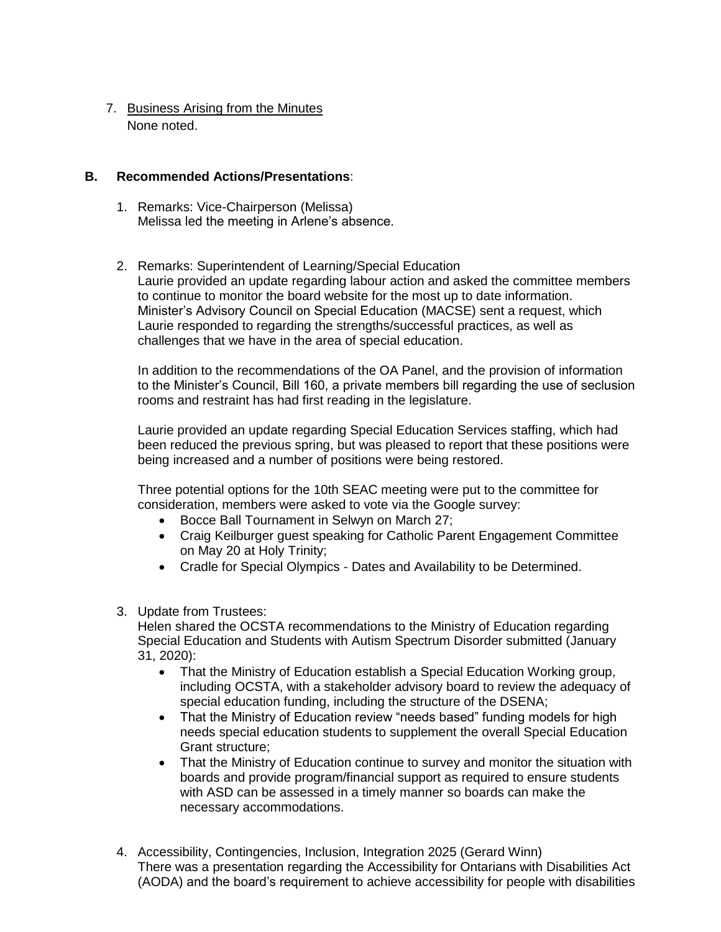7. Business Arising from the Minutes None noted.

## **B. Recommended Actions/Presentations**:

- 1. Remarks: Vice-Chairperson (Melissa) Melissa led the meeting in Arlene's absence.
- 2. Remarks: Superintendent of Learning/Special Education Laurie provided an update regarding labour action and asked the committee members to continue to monitor the board website for the most up to date information. Minister's Advisory Council on Special Education (MACSE) sent a request, which Laurie responded to regarding the strengths/successful practices, as well as challenges that we have in the area of special education.

In addition to the recommendations of the OA Panel, and the provision of information to the Minister's Council, Bill 160, a private members bill regarding the use of seclusion rooms and restraint has had first reading in the legislature.

Laurie provided an update regarding Special Education Services staffing, which had been reduced the previous spring, but was pleased to report that these positions were being increased and a number of positions were being restored.

Three potential options for the 10th SEAC meeting were put to the committee for consideration, members were asked to vote via the Google survey:

- Bocce Ball Tournament in Selwyn on March 27;
- Craig Keilburger guest speaking for Catholic Parent Engagement Committee on May 20 at Holy Trinity;
- Cradle for Special Olympics Dates and Availability to be Determined.
- 3. Update from Trustees:

Helen shared the OCSTA recommendations to the Ministry of Education regarding Special Education and Students with Autism Spectrum Disorder submitted (January 31, 2020):

- That the Ministry of Education establish a Special Education Working group, including OCSTA, with a stakeholder advisory board to review the adequacy of special education funding, including the structure of the DSENA;
- That the Ministry of Education review "needs based" funding models for high needs special education students to supplement the overall Special Education Grant structure;
- That the Ministry of Education continue to survey and monitor the situation with boards and provide program/financial support as required to ensure students with ASD can be assessed in a timely manner so boards can make the necessary accommodations.
- 4. Accessibility, Contingencies, Inclusion, Integration 2025 (Gerard Winn) There was a presentation regarding the Accessibility for Ontarians with Disabilities Act (AODA) and the board's requirement to achieve accessibility for people with disabilities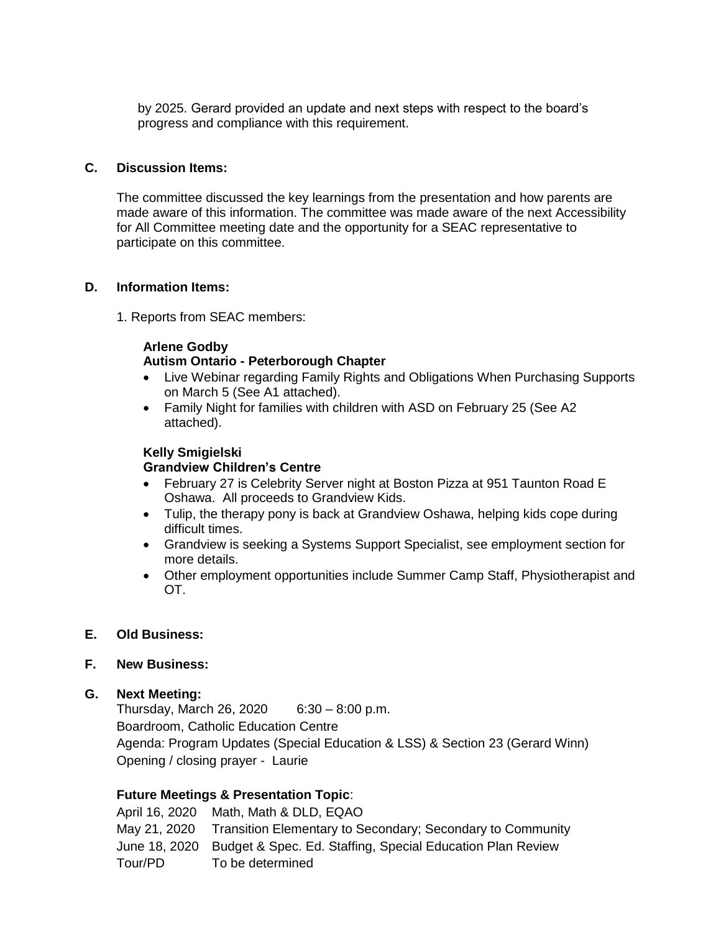by 2025. Gerard provided an update and next steps with respect to the board's progress and compliance with this requirement.

# **C. Discussion Items:**

The committee discussed the key learnings from the presentation and how parents are made aware of this information. The committee was made aware of the next Accessibility for All Committee meeting date and the opportunity for a SEAC representative to participate on this committee.

### **D. Information Items:**

1. Reports from SEAC members:

# **Arlene Godby**

# **Autism Ontario - Peterborough Chapter**

- Live Webinar regarding Family Rights and Obligations When Purchasing Supports on March 5 (See A1 attached).
- Family Night for families with children with ASD on February 25 (See A2 attached).

#### **Kelly Smigielski**

## **Grandview Children's Centre**

- February 27 is Celebrity Server night at Boston Pizza at 951 Taunton Road E Oshawa. All proceeds to Grandview Kids.
- Tulip, the therapy pony is back at Grandview Oshawa, helping kids cope during difficult times.
- Grandview is seeking a Systems Support Specialist, see employment section for more details.
- Other employment opportunities include Summer Camp Staff, Physiotherapist and OT.

# **E. Old Business:**

# **F. New Business:**

# **G. Next Meeting:**

Thursday, March 26, 2020 6:30 – 8:00 p.m. Boardroom, Catholic Education Centre Agenda: Program Updates (Special Education & LSS) & Section 23 (Gerard Winn) Opening / closing prayer - Laurie

# **Future Meetings & Presentation Topic**:

April 16, 2020 Math, Math & DLD, EQAO May 21, 2020 Transition Elementary to Secondary; Secondary to Community June 18, 2020 Budget & Spec. Ed. Staffing, Special Education Plan Review Tour/PD To be determined